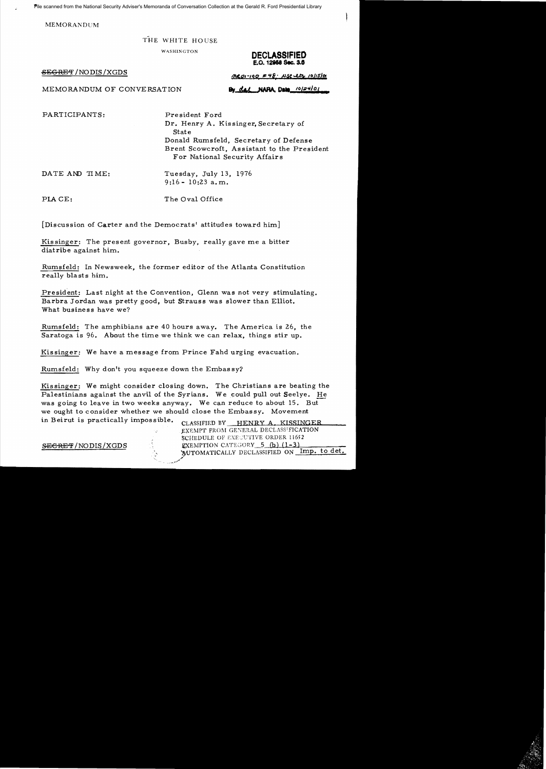Pile scanned from the National Security Adviser's Memoranda of Conversation Collection at the Gerald R. Ford Presidential Library

**MEMORANDUM** 

## THE WHITE HOUSE

**WASHINGTON** 

SEGRET/NODIS/XGDS

**DECLASSIFIED** E.O. 12958 Sec. 3.6

MEMORANDUM OF CONVERSATION

 $MRO1-190$   $F48$ . NSC Lts 10/15/01 By dal NARA Date 10/24/01

PARTICIPANTS:

President Ford Dr. Henry A. Kissinger, Secretary of State Donald Rumsfeld, Secretary of Defense Brent Scowcroft, Assistant to the President For National Security Affairs

DATE AND TIME:

Tuesday, July 13, 1976  $9:16 - 10:23$  a.m.

PLACE:

The Oval Office

[Discussion of Carter and the Democrats' attitudes toward him]

Kissinger: The present governor, Busby, really gave me a bitter diatribe against him.

Rumsfeld: In Newsweek, the former editor of the Atlanta Constitution really blasts him.

President: Last night at the Convention, Glenn was not very stimulating. Barbra Jordan was pretty good, but Strauss was slower than Elliot. What business have we?

Rumsfeld: The amphibians are 40 hours away. The America is 26, the Saratoga is 96. About the time we think we can relax, things stir up.

Kissinger: We have a message from Prince Fahd urging evacuation.

Rumsfeld: Why don't you squeeze down the Embassy?

Kissinger: We might consider closing down. The Christians are beating the Palestinians against the anvil of the Syrians. We could pull out Seelye. He was going to leave in two weeks anyway. We can reduce to about 15. But we ought to consider whether we should close the Embassy. Movement in Beirut is practically impossible.

CLASSIFIED BY HENRY A. KISSINGER EXEMPT FROM GENERAL DECLASSIFICATION SCHEDULE OF EXECUTIVE ORDER 11652 EXEMPTION CATEGORY 5 (b) (1-3) MUTOMATICALLY DECLASSIFIED ON Imp. to det.

SECRET/NODIS/XGDS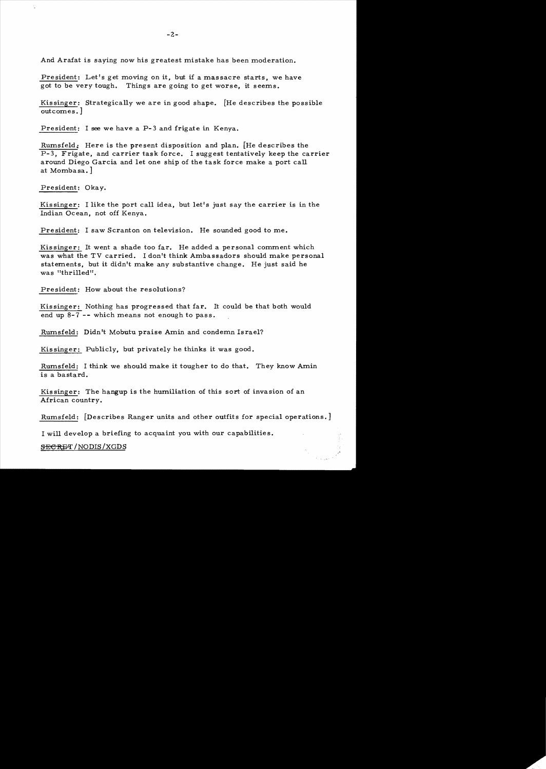And Arafat is saying now his greatest mistake has been moderation.

President: Let's get moving on it, but if a massacre starts, we have got to be very tough. Things are going to get worse, it seems.

Kissinger: Strategically we are in good shape. [He describes the possible outcomes. ]

President: I see we have a P-3 and frigate in Kenya.

Rumsfeld: Here is the present disposition and plan. [He describes the  $P-3$ . Frigate, and carrier task force. I suggest tentatively keep the carrier around Diego Garcia and let one ship of the task force make a port call at Momba sa. ]

President: Okay.

Kis singer: I like the port call idea, but let's just say the carrier is in the Indian Ocean, not off Kenya.

President: I saw Scranton on television. He sounded good to me.

Kissinger: It went a shade too far. He added a personal comment which was what the TV carried. I don't think Ambassadors should make personal statements, but it didn't make any substantive change. He just said he was "thrilled".

President: How about the resolutions?

Kissinger: Nothing has progressed that far. It could be that both would end up 8-7 -- which means not enough to pass.

Rumsfeld: Didn't Mobutu praise Amin and condemn Israel?

Kissinger: Publicly, but privately he thinks it was good.

Rumsfeld: I think we should make it tougher to do that. They know Amin is a bastard.

Kis singer: The hangup is the humiliation of this sort of invasion of an African country.

Rumsfeld: [Describes Ranger units and other outfits for special operations.]

I will develop a briefing to acquaint you with our capabilities.

**SECRET** / NODIS / XGDS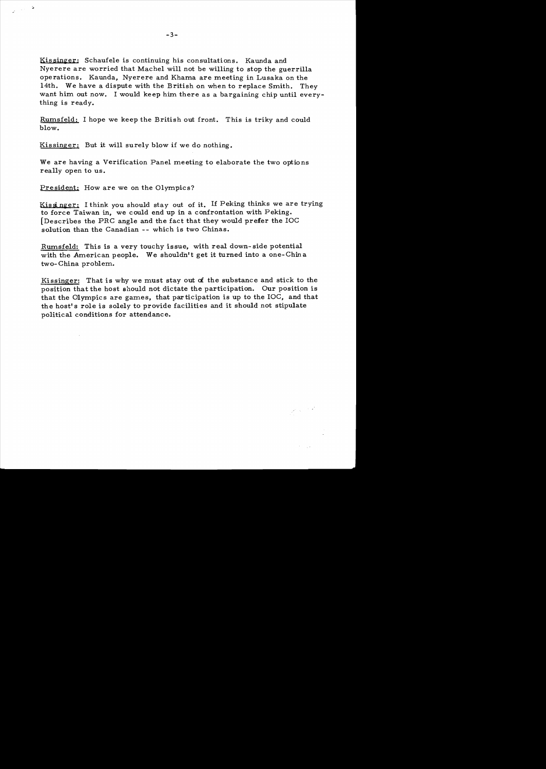Kissinger; Schaufele is continuing his consultations. Kaunda and Nyerere are worried that Machel will not be willing to stop the guerrilla operations. Kaunda, Nyerere and Khama are meeting in Lusaka on the 14th. We have a dispute with the British on when to replace Smith. They want him out now. I would keep him there as a bargaining chip until everything is ready.

Rumsfeld: I hope we keep the British out front. This is triky and could blow.

Kissinger: But it will surely blow if we do nothing.

We are having a Verification Panel meeting to elaborate the two options really open to us.

President; How are we on the Olympics?

ي.<br>محمد الري

Kissinger: I think you should stay out of it. If Peking thinks we are trying to force Taiwan in, we could end up in a confrontation with Peking. [Describes the PRC angle and the fact that they would prefer the  $LOC$ solution than the Canadian -- which is two Chinas.

Rurnsfeld: This is a very touchy issue, with real down- side potential with the American people. We shouldn't get it turned into a one-China two- China problem.

Kissinger: That is why we must stay out *ci* the substance and stick to the position that the host should not dictate the participation. Our position is that the Olympics are games, that participation is up to the IOC, and that the host's role is solely to provide facilities and it should not stipulate political conditions for attendance.

 $\label{eq:1} \frac{1}{\sqrt{2}}\left(\frac{1}{\sqrt{2}}\right)^{1/2}\frac{1}{\sqrt{2}}\frac{d^2}{dx^2}$ 

 $\mathcal{F} = \{ \mathbf{x}_i,$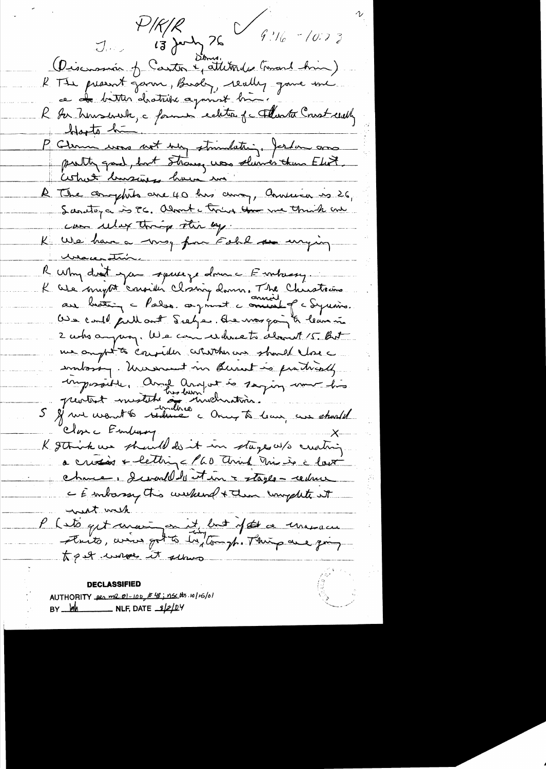J. PIRIR<br>J. 13 July 76 9:16-10:23 (Discussion of Canton & attitudes (mont him) R The present govern, Bushy, really gave me ce de bitter drotrise against bien.<br>R Ar heusevert, c former ecleter je Flante Crest evely blante hui " "<br>P Clemm was not very strimlater", fortun anno Cestret bussiness have me A The complete ere 40 hrs avon, Annuion is 26, can ulax things the ey. K We have a mog for Eskl so uniging <u> usace strir.</u> R Why drait you squeeze drune Embasy K We might considér closing donne. The Christoin 2 who ampage We can where to do t 15 But me ampt to consider whitchever should love intosty. Unescent in Burnt is fratically imposait mestat home and is saying une his<br>5 et une want 6 réduce à mechanisme Close Enduary K gthink we should do it in stages w/s creating a crissoir + letting < 160 think this is a lost charce, descended de est un a stagle - reduce - Embassy this weekend + then unpflite it went with P ( its quit manigen it but if the a manacu to get unique it selves

**DECLASSIFIED** AUTHORITY per me 01-100, # 48; nsc tts.10/16/01 BY  $\frac{1}{2}$  MLF, DATE  $\frac{3}{2}$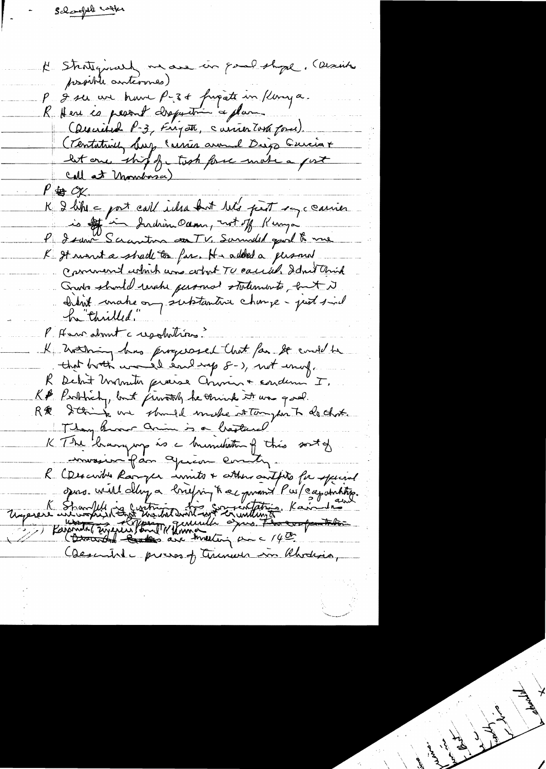Scheenful cooks

in good shope. (Danis K Strategymary me are possible antervies) P & ser un brave P-34 frigate in Ronya. K Here es pessant claquation a plan Caucina P-3, Frigate, carrier Tora force). (Tentatrily busy Carrier around Diego Guicia + let one ship for took force make a fort Call at Montage)  $P \oplus \mathcal{O}$ X. K I like - port call inha but let's part say c carrier is of in Indian Ocean, not of Kinga K It want a shade to far. H-added a personal Comment which was adout TU caused. Idn't think Grato should raish personal statements, but it bitist make on subtantive change-just sind P. Henrahmt creschitries. K hothing has progressed that for so end to that broth was il each rap 8-), not enough R Debut Monsieur procesa Comme + condemn I. K& Probach, but jurately he think it was good. R& String us should make stay on To do that. Thom know anim is a basture sortof K The known mp is a knownthing this mossiva fan Juin Comity R Caesarible Ranger innits & attens antifits for special ques. Will day a briging trac promis Purpointing. Unperere université des montres de la contation Kainetre Caesaribile process of trimed in Rhodins,